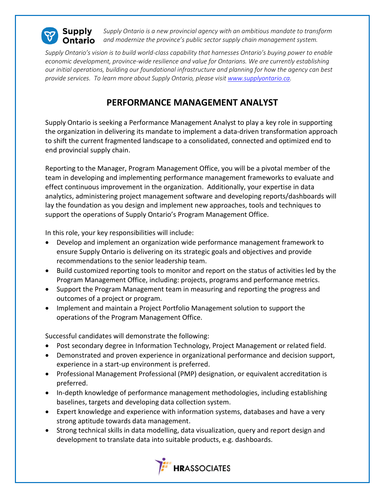

*Supply Ontario is a new provincial agency with an ambitious mandate to transform*  **Ontario** and modernize the province's public sector supply chain management system.

*Supply Ontario's vision is to build world-class capability that harnesses Ontario's buying power to enable economic development, province-wide resilience and value for Ontarians. We are currently establishing our initial operations, building our foundational infrastructure and planning for how the agency can best provide services. To learn more about Supply Ontario, please visit [www.supplyontario.ca.](http://www.supplyontario.ca/)* 

## **PERFORMANCE MANAGEMENT ANALYST**

Supply Ontario is seeking a Performance Management Analyst to play a key role in supporting the organization in delivering its mandate to implement a data-driven transformation approach to shift the current fragmented landscape to a consolidated, connected and optimized end to end provincial supply chain.

Reporting to the Manager, Program Management Office, you will be a pivotal member of the team in developing and implementing performance management frameworks to evaluate and effect continuous improvement in the organization. Additionally, your expertise in data analytics, administering project management software and developing reports/dashboards will lay the foundation as you design and implement new approaches, tools and techniques to support the operations of Supply Ontario's Program Management Office.

In this role, your key responsibilities will include:

- Develop and implement an organization wide performance management framework to ensure Supply Ontario is delivering on its strategic goals and objectives and provide recommendations to the senior leadership team.
- Build customized reporting tools to monitor and report on the status of activities led by the Program Management Office, including: projects, programs and performance metrics.
- Support the Program Management team in measuring and reporting the progress and outcomes of a project or program.
- Implement and maintain a Project Portfolio Management solution to support the operations of the Program Management Office.

Successful candidates will demonstrate the following:

- Post secondary degree in Information Technology, Project Management or related field.
- Demonstrated and proven experience in organizational performance and decision support, experience in a start-up environment is preferred.
- Professional Management Professional (PMP) designation, or equivalent accreditation is preferred.
- In-depth knowledge of performance management methodologies, including establishing baselines, targets and developing data collection system.
- Expert knowledge and experience with information systems, databases and have a very strong aptitude towards data management.
- Strong technical skills in data modelling, data visualization, query and report design and development to translate data into suitable products, e.g. dashboards.